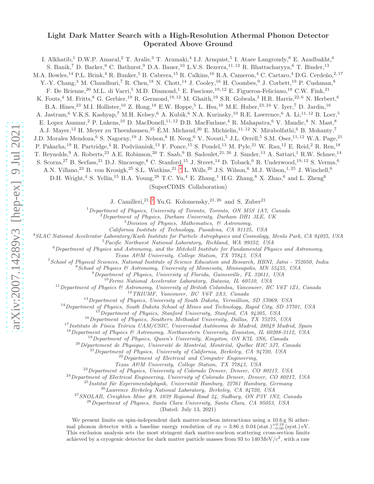## Light Dark Matter Search with a High-Resolution Athermal Phonon Detector Operated Above Ground

I. Alkhatib,<sup>1</sup> D.W.P. Amaral,<sup>2</sup> T. Aralis,<sup>3</sup> T. Aramaki,<sup>4</sup> I.J. Arnquist,<sup>5</sup> I. Ataee Langroudy,<sup>6</sup> E. Azadbakht,<sup>6</sup> S. Banik,<sup>7</sup> D. Barker,<sup>8</sup> C. Bathurst,<sup>9</sup> D.A. Bauer,<sup>10</sup> L.V.S. Bezerra,<sup>11,12</sup> R. Bhattacharyya,<sup>6</sup> T. Binder,<sup>13</sup>

M.A. Bowles,<sup>14</sup> P.L. Brink,<sup>4</sup> R. Bunker,<sup>5</sup> B. Cabrera,<sup>15</sup> R. Calkins,<sup>16</sup> R.A. Cameron,<sup>4</sup> C. Cartaro,<sup>4</sup> D.G. Cerdeño,<sup>2,17</sup>

Y.-Y. Chang,<sup>3</sup> M. Chaudhuri,<sup>7</sup> R. Chen,<sup>18</sup> N. Chott,<sup>14</sup> J. Cooley,<sup>16</sup> H. Coombes,<sup>9</sup> J. Corbett,<sup>19</sup> P. Cushman,<sup>8</sup>

F. De Brienne,<sup>20</sup> M.L. di Vacri,<sup>5</sup> M.D. Diamond,<sup>1</sup> E. Fascione,<sup>19,12</sup> E. Figueroa-Feliciano,<sup>18</sup> C.W. Fink,<sup>21</sup>

K. Fouts,<sup>4</sup> M. Fritts,<sup>8</sup> G. Gerbier,<sup>19</sup> R. Germond,<sup>19,12</sup> M. Ghaith,<sup>19</sup> S.R. Golwala,<sup>3</sup> H.R. Harris,<sup>22,6</sup> N. Herbert,<sup>6</sup> B.A. Hines,<sup>23</sup> M.I. Hollister,<sup>10</sup> Z. Hong,<sup>18</sup> E.W. Hoppe,<sup>5</sup> L. Hsu,<sup>10</sup> M.E. Huber,<sup>23,24</sup> V. Iyer,<sup>7</sup> D. Jardin,<sup>16</sup>

A. Jastram, <sup>6</sup> V.K.S. Kashyap, <sup>7</sup> M.H. Kelsey, <sup>6</sup> A. Kubik, <sup>6</sup> N.A. Kurinsky, <sup>10</sup> R.E. Lawrence, <sup>6</sup> A. Li, <sup>11, 12</sup> B. Loer, <sup>5</sup>

E. Lopez Asamar,<sup>2</sup> P. Lukens,<sup>10</sup> D. MacDonell,<sup>11, 12</sup> D.B. MacFarlane,<sup>4</sup> R. Mahapatra,<sup>6</sup> V. Mandic,<sup>8</sup> N. Mast,<sup>8</sup>

A.J. Mayer,<sup>12</sup> H. Meyer zu Theenhausen,<sup>25</sup> É.M. Michaud,<sup>20</sup> E. Michielin,<sup>11, 12</sup> N. Mirabolfathi,<sup>6</sup> B. Mohanty,<sup>7</sup>

J.D. Morales Mendoza, <sup>6</sup> S. Nagorny, <sup>19</sup> J. Nelson, <sup>8</sup> H. Neog, <sup>6</sup> V. Novati, <sup>5</sup> J.L. Orrell, <sup>5</sup> S.M. Oser, <sup>11, 12</sup> W.A. Page, <sup>21</sup>

P. Pakarha,<sup>19</sup> R. Partridge,<sup>4</sup> R. Podviianiuk,<sup>13</sup> F. Ponce,<sup>15</sup> S. Poudel,<sup>13</sup> M. Pyle,<sup>21</sup> W. Rau,<sup>12</sup> E. Reid,<sup>2</sup> R. Ren,<sup>18</sup>

T. Reynolds, <sup>9</sup> A. Roberts, <sup>23</sup> A.E. Robinson, <sup>20</sup> T. Saab, <sup>9</sup> B. Sadoulet, <sup>21, 26</sup> J. Sander, <sup>13</sup> A. Sattari, <sup>1</sup> R.W. Schnee, <sup>14</sup>

S. Scorza,<sup>27</sup> B. Serfass,<sup>21</sup> D.J. Sincavage,<sup>8</sup> C. Stanford,<sup>15</sup> J. Street,<sup>14</sup> D. Toback,<sup>6</sup> R. Underwood,<sup>19,12</sup> S. Verma,<sup>6</sup>

A.N. Villano,<sup>23</sup> B. von Krosigk,<sup>25</sup> S.L. Watkins,<sup>21,\*</sup> L. Wills,<sup>20</sup> J.S. Wilson,<sup>6</sup> M.J. Wilson,<sup>1,25</sup> J. Winchell,<sup>6</sup>

D.H. Wright,<sup>4</sup> S. Yellin,<sup>15</sup> B.A. Young,<sup>28</sup> T.C. Yu,<sup>4</sup> E. Zhang,<sup>1</sup> H.G. Zhang,<sup>8</sup> X. Zhao,<sup>6</sup> and L. Zheng<sup>6</sup>

(SuperCDMS Collaboration)

J. Camilleri,<sup>21,[†](#page-5-1)</sup> Yu.G. Kolomensky,<sup>21,26</sup> and S. Zuber<sup>21</sup>

<sup>1</sup>Department of Physics, University of Toronto, Toronto, ON M5S 1A7, Canada<sup>2</sup>Department of Physics, Durham University, Durham DH1 3LE, UK <sup>3</sup>Division of Physics, Mathematics, & Astronomy,

California Institute of Technology, Pasadena, CA 91125, USA

<sup>4</sup>SLAC National Accelerator Laboratory/Kavli Institute for Particle Astrophysics and Cosmology, Menlo Park, CA 94025, USA<br><sup>5</sup> Pacific Northwest National Laboratory, Richland, WA 99352, USA<br><sup>6</sup> Department of Physics and A

Texas A&M University, College Station, TX 77843, USA

<sup>7</sup> School of Physical Sciences, National Institute of Science Education and Research, HBNI, Jatni - 752050, India<br><sup>8</sup> School of Physics & Astronomy, University of Minnesota, Minneapolis, MN 55455, USA<br><sup>9</sup> Department of P

 $10$  Fermi National Accelerator Laboratory, Batavia, IL 60510, USA

<sup>11</sup> Department of Physics & Astronomy, University of British Columbia, Vancouver, BC V6T 1Z1, Canada

 $^{12}\,TRIUMF,\,~Vancouver,\,~BC,\, V6T,\,2A3,\,~Canada$ 

<sup>13</sup> Department of Physics, University of South Dakota, Vermillion, SD 57069, USA

<sup>14</sup> Department of Physics, South Dakota School of Mines and Technology, Rapid City, SD 57701, USA

 $^{15}$ Department of Physics, Stanford University, Stanford, CA 94305, USA

<sup>16</sup> Department of Physics, Southern Methodist University, Dallas, TX 75275, USA

 $^{17}$ Instituto de Física Teórica UAM/CSIC, Universidad Autónoma de Madrid, 28049 Madrid, Spain

<sup>18</sup>Department of Physics & Astronomy, Northwestern University, Evanston, IL 60208-3112, USA

 $19$ Department of Physics, Queen's University, Kingston, ON K7L 3N6, Canada

 $^{20}$ Département de Physique, Université de Montréal, Montréal, Québec H3C 3J7, Canada

 $^{21}$ Department of Physics, University of California, Berkeley, CA 94720, USA

 $22$  Department of Electrical and Computer Engineering,

Texas A&M University, College Station, TX 77843, USA

<sup>23</sup> Department of Physics, University of Colorado Denver, Denver, CO 80217, USA

<sup>24</sup>Department of Electrical Engineering, University of Colorado Denver, Denver, CO 80217, USA

 $^{25}$ Institut für Experimentalphysik, Universität Hamburg, 22761 Hamburg, Germany

<sup>26</sup>Lawrence Berkeley National Laboratory, Berkeley, CA 94720, USA

<sup>27</sup> SNOLAB, Creighton Mine  $#9$ , 1039 Regional Road 24, Sudbury, ON P3Y 1N2, Canada

<sup>28</sup> Department of Physics, Santa Clara University, Santa Clara, CA 95053, USA

(Dated: July 13, 2021)

We present limits on spin-independent dark matter-nucleon interactions using a  $10.6$  g Si athermal phonon detector with a baseline energy resolution of  $\sigma_E = 3.86 \pm 0.04 \text{ (stat.)}^{+0.19}_{-0.00} \text{ (syst.)} \text{ eV.}$ This exclusion analysis sets the most stringent dark matter-nucleon scattering cross-section limits achieved by a cryogenic detector for dark matter particle masses from 93 to  $140 \,\mathrm{MeV}/c^2$ , with a raw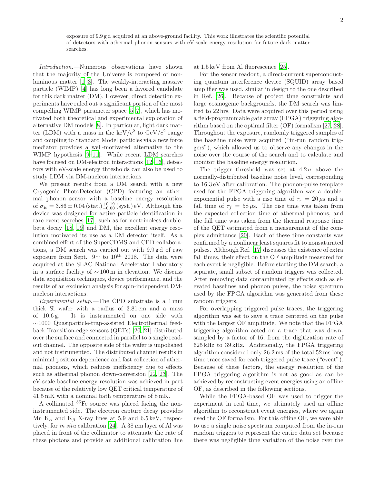exposure of 9.9 g d acquired at an above-ground facility. This work illustrates the scientific potential of detectors with athermal phonon sensors with eV-scale energy resolution for future dark matter searches.

Introduction.—Numerous observations have shown that the majority of the Universe is composed of nonluminous matter [\[1](#page-5-2)[–3\]](#page-5-3). The weakly-interacting massive particle (WIMP) [\[4](#page-5-4)] has long been a favored candidate for this dark matter (DM). However, direct detection experiments have ruled out a significant portion of the most compelling WIMP parameter space [\[5](#page-5-5)[–7](#page-5-6)], which has motivated both theoretical and experimental exploration of alternative DM models [\[8\]](#page-5-7). In particular, light dark matter (LDM) with a mass in the keV/ $c^2$  to GeV/ $c^2$  range and coupling to Standard Model particles via a new force mediator provides a well-motivated alternative to the WIMP hypothesis [\[9](#page-5-8)[–11\]](#page-5-9). While recent LDM searches have focused on DM-electron interactions [\[12–](#page-5-10)[16\]](#page-5-11), detectors with eV-scale energy thresholds can also be used to study LDM via DM-nucleon interactions.

We present results from a DM search with a new Cryogenic PhotoDetector (CPD) featuring an athermal phonon sensor with a baseline energy resolution of  $\sigma_E = 3.86 \pm 0.04 \, (\text{stat.})_{-0.00}^{+0.19} \, (\text{syst.}) \, \text{eV}$ . Although this device was designed for active particle identification in rare event searches [\[17\]](#page-5-12), such as for neutrinoless doublebeta decay [\[18,](#page-5-13) [19](#page-5-14)] and DM, the excellent energy resolution motivated its use as a DM detector itself. As a combined effort of the SuperCDMS and CPD collaborations, a DM search was carried out with  $9.9 g d$  of raw exposure from Sept.  $9^{th}$  to  $10^{th}$  2018. The data were acquired at the SLAC National Accelerator Laboratory in a surface facility of ∼ 100 m in elevation. We discuss data acquisition techniques, device performance, and the results of an exclusion analysis for spin-independent DMnucleon interactions.

Experimental setup.—The CPD substrate is a 1 mm thick Si wafer with a radius of 3.81 cm and a mass of 10.6 g. It is instrumented on one side with ∼1000 Quasiparticle-trap-assisted Electrothermal feedback Transition-edge sensors (QETs) [\[20,](#page-5-15) [21\]](#page-6-0) distributed over the surface and connected in parallel to a single readout channel. The opposite side of the wafer is unpolished and not instrumented. The distributed channel results in minimal position dependence and fast collection of athermal phonons, which reduces inefficiency due to effects such as athermal phonon down-conversion [\[22](#page-6-1), [23](#page-6-2)]. The eV-scale baseline energy resolution was achieved in part because of the relatively low QET critical temperature of 41.5 mK with a nominal bath temperature of 8 mK.

A collimated <sup>55</sup>Fe source was placed facing the noninstrumented side. The electron capture decay provides Mn  $K_{\alpha}$  and  $K_{\beta}$  X-ray lines at 5.9 and 6.5 keV, respec-tively, for in situ calibration [\[24](#page-6-3)]. A 38  $\mu$ m layer of Al was placed in front of the collimator to attenuate the rate of these photons and provide an additional calibration line

## at 1.5 keV from Al fluorescence [\[25\]](#page-6-4).

For the sensor readout, a direct-current superconducting quantum interference device (SQUID) array–based amplifier was used, similar in design to the one described in Ref. [\[26\]](#page-6-5). Because of project time constraints and large cosmogenic backgrounds, the DM search was limited to 22 hrs. Data were acquired over this period using a field-programmable gate array (FPGA) triggering algorithm based on the optimal filter (OF) formalism [\[27](#page-6-6), [28\]](#page-6-7). Throughout the exposure, randomly triggered samples of the baseline noise were acquired ("in-run random triggers"), which allowed us to observe any changes in the noise over the course of the search and to calculate and monitor the baseline energy resolution.

The trigger threshold was set at  $4.2\sigma$  above the normally-distributed baseline noise level, corresponding to 16.3 eV after calibration. The phonon-pulse template used for the FPGA triggering algorithm was a doubleexponential pulse with a rise time of  $\tau_r = 20 \,\mu s$  and a fall time of  $\tau_f = 58 \,\mu s$ . The rise time was taken from the expected collection time of athermal phonons, and the fall time was taken from the thermal response time of the QET estimated from a measurement of the complex admittance [\[20](#page-5-15)]. Each of these time constants was confirmed by a nonlinear least squares fit to nonsaturated pulses. Although Ref. [\[17\]](#page-5-12) discusses the existence of extra fall times, their effect on the OF amplitude measured for each event is negligible. Before starting the DM search, a separate, small subset of random triggers was collected. After removing data contaminated by effects such as elevated baselines and phonon pulses, the noise spectrum used by the FPGA algorithm was generated from these random triggers.

For overlapping triggered pulse traces, the triggering algorithm was set to save a trace centered on the pulse with the largest OF amplitude. We note that the FPGA triggering algorithm acted on a trace that was downsampled by a factor of 16, from the digitization rate of 625 kHz to 39 kHz. Additionally, the FPGA triggering algorithm considered only 26.2 ms of the total 52 ms long time trace saved for each triggered pulse trace ("event"). Because of these factors, the energy resolution of the FPGA triggering algorithm is not as good as can be achieved by reconstructing event energies using an offline OF, as described in the following sections.

While the FPGA-based OF was used to trigger the experiment in real time, we ultimately used an offline algorithm to reconstruct event energies, where we again used the OF formalism. For this offline OF, we were able to use a single noise spectrum computed from the in-run random triggers to represent the entire data set because there was negligible time variation of the noise over the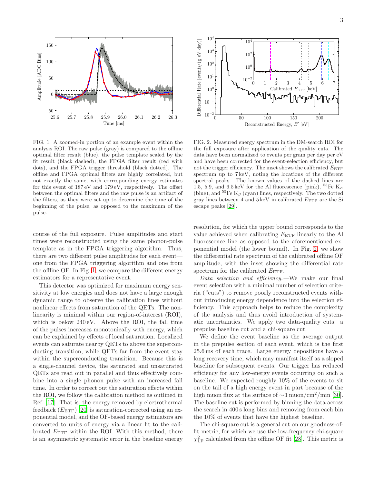

<span id="page-2-0"></span>FIG. 1. A zoomed-in portion of an example event within the analysis ROI. The raw pulse (gray) is compared to the offline optimal filter result (blue), the pulse template scaled by the fit result (black dashed), the FPGA filter result (red with dots), and the FPGA trigger threshold (black dotted). The offline and FPGA optimal filters are highly correlated, but not exactly the same, with corresponding energy estimates for this event of 187 eV and 179 eV, respectively. The offset between the optimal filters and the raw pulse is an artifact of the filters, as they were set up to determine the time of the beginning of the pulse, as opposed to the maximum of the pulse.

course of the full exposure. Pulse amplitudes and start times were reconstructed using the same phonon-pulse template as in the FPGA triggering algorithm. Thus, there are two different pulse amplitudes for each event one from the FPGA triggering algorithm and one from the offline OF. In Fig. [1,](#page-2-0) we compare the different energy estimators for a representative event.

This detector was optimized for maximum energy sensitivity at low energies and does not have a large enough dynamic range to observe the calibration lines without nonlinear effects from saturation of the QETs. The nonlinearity is minimal within our region-of-interest (ROI), which is below 240 eV. Above the ROI, the fall time of the pulses increases monotonically with energy, which can be explained by effects of local saturation. Localized events can saturate nearby QETs to above the superconducting transition, while QETs far from the event stay within the superconducting transition. Because this is a single-channel device, the saturated and unsaturated QETs are read out in parallel and thus effectively combine into a single phonon pulse with an increased fall time. In order to correct out the saturation effects within the ROI, we follow the calibration method as outlined in Ref. [\[17\]](#page-5-12). That is, the energy removed by electrothermal feedback  $(E_{\text{ETF}})$  [\[20\]](#page-5-15) is saturation-corrected using an exponential model, and the OF-based energy estimators are converted to units of energy via a linear fit to the calibrated  $E_{\text{ETF}}$  within the ROI. With this method, there is an asymmetric systematic error in the baseline energy



<span id="page-2-1"></span>FIG. 2. Measured energy spectrum in the DM-search ROI for the full exposure after application of the quality cuts. The data have been normalized to events per gram per day per eV and have been corrected for the event-selection efficiency, but not the trigger efficiency. The inset shows the calibrated  $E_{\text{ETF}}$ spectrum up to 7 keV, noting the locations of the different spectral peaks. The known values of the dashed lines are 1.5, 5.9, and 6.5 keV for the Al fluorescence (pink), <sup>55</sup>Fe K<sub> $\alpha$ </sub> (blue), and  ${}^{55}Fe Kg$  (cyan) lines, respectively. The two dotted gray lines between 4 and  $5 \,\text{keV}$  in calibrated  $E_{\text{ETF}}$  are the Si escape peaks [\[29](#page-6-8)].

resolution, for which the upper bound corresponds to the value achieved when calibrating  $E_{\text{ETF}}$  linearly to the Al fluorescence line as opposed to the aforementioned exponential model (the lower bound). In Fig. [2,](#page-2-1) we show the differential rate spectrum of the calibrated offline OF amplitude, with the inset showing the differential rate spectrum for the calibrated  $E_{\text{ETF}}$ .

Data selection and efficiency.—We make our final event selection with a minimal number of selection criteria ("cuts") to remove poorly reconstructed events without introducing energy dependence into the selection efficiency. This approach helps to reduce the complexity of the analysis and thus avoid introduction of systematic uncertainties. We apply two data-quality cuts: a prepulse baseline cut and a chi-square cut.

We define the event baseline as the average output in the prepulse section of each event, which is the first 25.6 ms of each trace. Large energy depositions have a long recovery time, which may manifest itself as a sloped baseline for subsequent events. Our trigger has reduced efficiency for any low-energy events occurring on such a baseline. We expected roughly 10% of the events to sit on the tail of a high energy event in part because of the high muon flux at the surface of  $\sim$ 1 muon/cm<sup>2</sup>/min [\[30\]](#page-6-9). The baseline cut is performed by binning the data across the search in 400 s long bins and removing from each bin the 10% of events that have the highest baseline.

The chi-square cut is a general cut on our goodness-offit metric, for which we use the low-frequency chi-square  $\chi^2_{\rm LF}$  calculated from the offline OF fit [\[28](#page-6-7)]. This metric is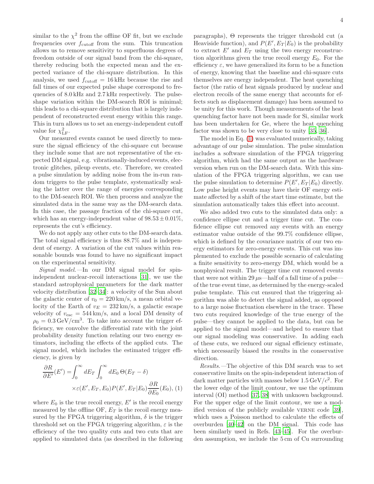similar to the  $\chi^2$  from the offline OF fit, but we exclude frequencies over  $f_{\text{cutoff}}$  from the sum. This truncation allows us to remove sensitivity to superfluous degrees of freedom outside of our signal band from the chi-square, thereby reducing both the expected mean and the expected variance of the chi-square distribution. In this analysis, we used  $f_{\text{cutoff}} = 16 \text{ kHz}$  because the rise and fall times of our expected pulse shape correspond to frequencies of 8.0 kHz and 2.7 kHz respectively. The pulseshape variation within the DM-search ROI is minimal; this leads to a chi-square distribution that is largely independent of reconstructed event energy within this range. This in turn allows us to set an energy-independent cutoff value for  $\chi^2_{\text{LF}}$ .

Our measured events cannot be used directly to measure the signal efficiency of the chi-square cut because they include some that are not representative of the expected DM signal, e.g. vibrationally-induced events, electronic glitches, pileup events, etc. Therefore, we created a pulse simulation by adding noise from the in-run random triggers to the pulse template, systematically scaling the latter over the range of energies corresponding to the DM-search ROI. We then process and analyze the simulated data in the same way as the DM-search data. In this case, the passage fraction of the chi-square cut, which has an energy-independent value of  $98.53 \pm 0.01\%$ , represents the cut's efficiency.

We do not apply any other cuts to the DM-search data. The total signal efficiency is thus 88.7% and is independent of energy. A variation of the cut values within reasonable bounds was found to have no significant impact on the experimental sensitivity.

Signal model.—In our DM signal model for spinindependent nuclear-recoil interactions [\[31](#page-6-10)], we use the standard astrophysical parameters for the dark matter velocity distribution [\[32](#page-6-11)[–34](#page-6-12)]: a velocity of the Sun about the galactic center of  $v_0 = 220 \text{ km/s}$ , a mean orbital velocity of the Earth of  $v_E = 232 \text{ km/s}$ , a galactic escape velocity of  $v_{\text{esc}} = 544 \text{ km/s}$ , and a local DM density of  $\rho_0 = 0.3 \,\text{GeV}/\text{cm}^3$ . To take into account the trigger efficiency, we convolve the differential rate with the joint probability density function relating our two energy estimators, including the effects of the applied cuts. The signal model, which includes the estimated trigger efficiency, is given by

<span id="page-3-0"></span>
$$
\frac{\partial R}{\partial E'}(E') = \int_0^\infty dE_T \int_0^\infty dE_0 \Theta(E_T - \delta)
$$

$$
\times \varepsilon(E', E_T, E_0) P(E', E_T | E_0) \frac{\partial R}{\partial E_0}(E_0), (1)
$$

where  $E_0$  is the true recoil energy,  $E'$  is the recoil energy measured by the offline  $\mathrm{OF}, E_T$  is the recoil energy measured by the FPGA triggering algorithm,  $\delta$  is the trigger threshold set on the FPGA triggering algorithm,  $\varepsilon$  is the efficiency of the two quality cuts and two cuts that are applied to simulated data (as described in the following

paragraphs), Θ represents the trigger threshold cut (a Heaviside function), and  $P(E', E_T | E_0)$  is the probability to extract  $E'$  and  $E_T$  using the two energy reconstruction algorithms given the true recoil energy  $E_0$ . For the efficiency  $\varepsilon$ , we have generalized its form to be a function of energy, knowing that the baseline and chi-square cuts themselves are energy independent. The heat quenching factor (the ratio of heat signals produced by nuclear and electron recoils of the same energy that accounts for effects such as displacement damage) has been assumed to be unity for this work. Though measurements of the heat quenching factor have not been made for Si, similar work has been undertaken for Ge, where the heat quenching factor was shown to be very close to unity [\[35](#page-6-13), [36\]](#page-6-14).

The model in Eq. [\(1\)](#page-3-0) was evaluated numerically, taking advantage of our pulse simulation. The pulse simulation includes a software simulation of the FPGA triggering algorithm, which had the same output as the hardware version when run on the DM-search data. With this simulation of the FPGA triggering algorithm, we can use the pulse simulation to determine  $P(E', E_T | E_0)$  directly. Low pulse height events may have their OF energy estimate affected by a shift of the start time estimate, but the simulation automatically takes this effect into account.

We also added two cuts to the simulated data only: a confidence ellipse cut and a trigger time cut. The confidence ellipse cut removed any events with an energy estimator value outside of the 99.7% confidence ellipse, which is defined by the covariance matrix of our two energy estimators for zero-energy events. This cut was implemented to exclude the possible scenario of calculating a finite sensitivity to zero-energy DM, which would be a nonphysical result. The trigger time cut removed events that were not within 29  $\mu$ s—half of a fall time of a pulse of the true event time, as determined by the energy-scaled pulse template. This cut ensured that the triggering algorithm was able to detect the signal added, as opposed to a large noise fluctuation elsewhere in the trace. These two cuts required knowledge of the true energy of the pulse—they cannot be applied to the data, but can be applied to the signal model—and helped to ensure that our signal modeling was conservative. In adding each of these cuts, we reduced our signal efficiency estimate, which necessarily biased the results in the conservative direction.

Results.—The objective of this DM search was to set conservative limits on the spin-independent interaction of dark matter particles with masses below  $1.5 \,\mathrm{GeV}/c^2$ . For the lower edge of the limit contour, we use the optimum interval (OI) method [\[37](#page-6-15), [38\]](#page-6-16) with unknown background. For the upper edge of the limit contour, we use a modified version of the publicly available verne code [\[39\]](#page-6-17), which uses a Poisson method to calculate the effects of overburden [\[40](#page-6-18)[–42](#page-6-19)] on the DM signal. This code has been similarly used in Refs. [\[43–](#page-6-20)[45\]](#page-6-21). For the overburden assumption, we include the 5 cm of Cu surrounding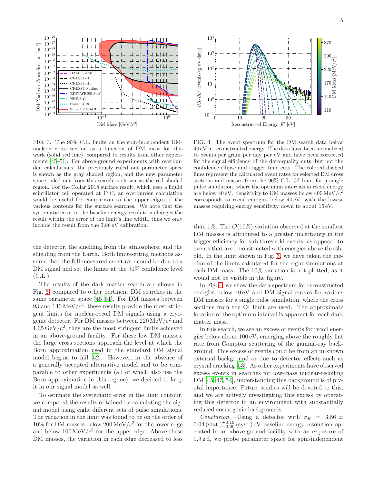

<span id="page-4-0"></span>FIG. 3. The 90% C.L. limits on the spin-independent DMnucleon cross section as a function of DM mass for this work (solid red line), compared to results from other experiments [\[45](#page-6-21)[–51\]](#page-6-22). For above-ground experiments with overburden calculations, the previously ruled out parameter space is shown as the gray shaded region, and the new parameter space ruled out from this search is shown as the red shaded region. For the Collar 2018 surface result, which uses a liquid scintillator cell operated at 1◦ C, an overburden calculation would be useful for comparison to the upper edges of the various contours for the surface searches. We note that the systematic error in the baseline energy resolution changes the result within the error of the limit's line width, thus we only include the result from the 3.86 eV calibration.

the detector, the shielding from the atmosphere, and the shielding from the Earth. Both limit-setting methods assume that the full measured event rate could be due to a DM signal and set the limits at the 90% confidence level  $(C.L.).$ 

The results of the dark matter search are shown in Fig. [3,](#page-4-0) compared to other pertinent DM searches in the same parameter space [\[45](#page-6-21)[–51\]](#page-6-22). For DM masses between 93 and  $140 \,\mathrm{MeV}/c^2$ , these results provide the most stringent limits for nuclear-recoil DM signals using a cryogenic detector. For DM masses between  $220 \,\mathrm{MeV}/c^2$  and  $1.35 \,\mathrm{GeV}/c^2$ , they are the most stringent limits achieved in an above-ground facility. For these low DM masses, the large cross sections approach the level at which the Born approximation used in the standard DM signal model begins to fail [\[52](#page-6-23)]. However, in the absence of a generally accepted alternative model and to be comparable to other experiments (all of which also use the Born approximation in this regime), we decided to keep it in our signal model as well.

To estimate the systematic error in the limit contour, we compared the results obtained by calculating the signal model using eight different sets of pulse simulations. The variation in the limit was found to be on the order of  $10\%$  for DM masses below  $200 \,\mathrm{MeV}/c^2$  for the lower edge and below  $100 \,\mathrm{MeV}/c^2$  for the upper edge. Above these DM masses, the variation in each edge decreased to less



<span id="page-4-1"></span>FIG. 4. The event spectrum for the DM search data below 40 eV in reconstructed energy. The data have been normalized to events per gram per day per eV and have been corrected for the signal efficiency of the data-quality cuts, but not the confidence ellipse and trigger time cuts. The colored dashed lines represent the calculated event rates for selected DM cross sections and masses from the 90% C.L. OI limit for a single pulse simulation, where the optimum intervals in recoil energy are below 40 eV. Sensitivity to DM masses below  $400 \,\mathrm{MeV}/c^2$ corresponds to recoil energies below 40 eV, with the lowest masses requiring energy sensitivity down to about 15 eV.

than 1%. The  $\mathcal{O}(10\%)$  variation observed at the smallest DM masses is attributed to a greater uncertainty in the trigger efficiency for sub-threshold events, as opposed to events that are reconstructed with energies above threshold. In the limit shown in Fig. [3,](#page-4-0) we have taken the median of the limits calculated for the eight simulations at each DM mass. The 10% variation is not plotted, as it would not be visible in the figure.

In Fig. [4,](#page-4-1) we show the data spectrum for reconstructed energies below 40 eV and DM signal curves for various DM masses for a single pulse simulation, where the cross sections from the OI limit are used. The approximate location of the optimum interval is apparent for each dark matter mass.

In this search, we see an excess of events for recoil energies below about 100 eV, emerging above the roughly flat rate from Compton scattering of the gamma-ray background. This excess of events could be from an unknown external background or due to detector effects such as crystal cracking [\[53\]](#page-6-24). As other experiments have observed excess events in searches for low-mass nuclear-recoiling DM [\[45](#page-6-21)[–47](#page-6-25), [54\]](#page-6-26), understanding this background is of pivotal importance. Future studies will be devoted to this, and we are actively investigating this excess by operating this detector in an environment with substantially reduced cosmogenic backgrounds.

Conclusion.—Using a detector with  $\sigma_E$  = 3.86  $\pm$  $0.04$  (stat.)<sup>+0.19</sup> (syst.) eV baseline energy resolution operated in an above-ground facility with an exposure of 9.9 g d, we probe parameter space for spin-independent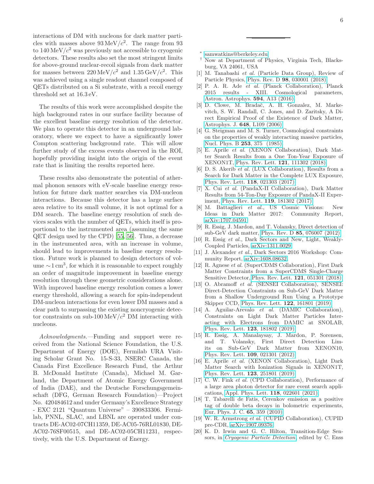interactions of DM with nucleons for dark matter particles with masses above  $93 \,\mathrm{MeV}/c^2$ . The range from  $93$ to  $140 \,\mathrm{MeV}/c^2$  was previously not accessible to cryogenic detectors. These results also set the most stringent limits for above-ground nuclear-recoil signals from dark matter for masses between  $220 \,\mathrm{MeV}/c^2$  and  $1.35 \,\mathrm{GeV}/c^2$ . This was achieved using a single readout channel composed of QETs distributed on a Si substrate, with a recoil energy threshold set at 16.3 eV.

The results of this work were accomplished despite the high background rates in our surface facility because of the excellent baseline energy resolution of the detector. We plan to operate this detector in an underground laboratory, where we expect to have a significantly lower Compton scattering background rate. This will allow further study of the excess events observed in the ROI, hopefully providing insight into the origin of the event rate that is limiting the results reported here.

These results also demonstrate the potential of athermal phonon sensors with eV-scale baseline energy resolution for future dark matter searches via DM-nucleon interactions. Because this detector has a large surface area relative to its small volume, it is not optimal for a DM search. The baseline energy resolution of such devices scales with the number of QETs, which itself is proportional to the instrumented area (assuming the same QET design used by the CPD) [\[55](#page-6-27), [56\]](#page-6-28). Thus, a decrease in the instrumented area, with an increase in volume, should lead to improvements in baseline energy resolution. Future work is planned to design detectors of volume  $\sim 1 \text{ cm}^3$ , for which it is reasonable to expect roughly an order of magnitude improvement in baseline energy resolution through these geometric considerations alone. With improved baseline energy resolution comes a lower energy threshold, allowing a search for spin-independent DM-nucleon interactions for even lower DM masses and a clear path to surpassing the existing noncryogenic detector constraints on sub-100 MeV/ $c^2$  DM interacting with nucleons.

Acknowledgments.—Funding and support were received from the National Science Foundation, the U.S. Department of Energy (DOE), Fermilab URA Visiting Scholar Grant No. 15-S-33, NSERC Canada, the Canada First Excellence Research Fund, the Arthur B. McDonald Institute (Canada), Michael M. Garland, the Department of Atomic Energy Government of India (DAE), and the Deutsche Forschungsgemeinschaft (DFG, German Research Foundation)—Project No. 420484612 and under Germany's Excellence Strategy - EXC 2121 "Quantum Universe" – 390833306. Fermilab, PNNL, SLAC, and LBNL are operated under contracts DE-AC02-07CH11359, DE-AC05-76RL01830, DE-AC02-76SF00515, and DE-AC02-05CH11231, respectively, with the U.S. Department of Energy.

- <span id="page-5-1"></span><span id="page-5-0"></span>† Now at Department of Physics, Virginia Tech, Blacksburg, VA 24061, USA
- <span id="page-5-2"></span>[1] M. Tanabashi et al. (Particle Data Group), Review of Particle Physics, Phys. Rev. D 98[, 030001 \(2018\).](https://doi.org/10.1103/PhysRevD.98.030001)
- [2] P. A. R. Ade et al. (Planck Collaboration), Planck 2015 results - XIII. Cosmological parameters, [Astron. Astrophys.](https://doi.org/10.1051/0004-6361/201525830) 594, A13 (2016).
- <span id="page-5-3"></span>[3] D. Clowe, M. Bradač, A. H. Gonzalez, M. Markevitch, S. W. Randall, C. Jones, and D. Zaritsky, A Direct Empirical Proof of the Existence of Dark Matter, Astrophys. J. 648[, L109 \(2006\).](https://doi.org/10.1086/508162)
- <span id="page-5-4"></span>[4] G. Steigman and M. S. Turner, Cosmological constraints on the properties of weakly interacting massive particles, [Nucl. Phys. B](https://doi.org/10.1016/0550-3213(85)90537-1) 253, 375 (1985).
- <span id="page-5-5"></span>[5] E. Aprile et al. (XENON Collaboration), Dark Matter Search Results from a One Ton-Year Exposure of XENON1T, [Phys. Rev. Lett.](https://doi.org/10.1103/PhysRevLett.121.111302) 121, 111302 (2018).
- [6] D. S. Akerib et al. (LUX Collaboration), Results from a Search for Dark Matter in the Complete LUX Exposure, [Phys. Rev. Lett.](https://doi.org/10.1103/PhysRevLett.118.021303) 118, 021303 (2017).
- <span id="page-5-6"></span>[7] X. Cui et al. (PandaX-II Collaboration), Dark Matter Results from 54-Ton-Day Exposure of PandaX-II Experiment, [Phys. Rev. Lett.](https://doi.org/10.1103/PhysRevLett.119.181302) 119, 181302 (2017).
- <span id="page-5-7"></span>[8] M. Battaglieri et al., US Cosmic Visions: New Ideas in Dark Matter 2017: Community Report, [arXiv:1707.04591.](https://arxiv.org/abs/1707.04591)
- <span id="page-5-8"></span>[9] R. Essig, J. Mardon, and T. Volansky, Direct detection of sub-GeV dark matter, Phys. Rev. D 85[, 076007 \(2012\).](https://doi.org/10.1103/PhysRevD.85.076007)
- [10] R. Essig et al., Dark Sectors and New, Light, Weakly-Coupled Particles, [arXiv:1311.0029.](https://arxiv.org/abs/1311.0029)
- <span id="page-5-9"></span>[11] J. Alexander et al., Dark Sectors 2016 Workshop: Community Report, [arXiv:1608.08632.](https://arxiv.org/abs/1608.08632)
- <span id="page-5-10"></span>[12] R. Agnese et al. (SuperCDMS Collaboration), First Dark Matter Constraints from a SuperCDMS Single-Charge Sensitive Detector, [Phys. Rev. Lett.](https://doi.org/10.1103/PhysRevLett.121.051301) 121, 051301 (2018).
- [13] O. Abramoff et al. (SENSEI Collaboration), SENSEI: Direct-Detection Constraints on Sub-GeV Dark Matter from a Shallow Underground Run Using a Prototype Skipper CCD, [Phys. Rev. Lett.](https://doi.org/10.1103/PhysRevLett.122.161801) 122, 161801 (2019).
- [14] A. Aguilar-Arevalo et al. (DAMIC Collaboration), Constraints on Light Dark Matter Particles Interacting with Electrons from DAMIC at SNOLAB, [Phys. Rev. Lett.](https://doi.org/10.1103/PhysRevLett.123.181802) 123, 181802 (2019).
- [15] R. Essig, A. Manalaysay, J. Mardon, P. Sorensen, and T. Volansky, First Direct Detection Limits on Sub-GeV Dark Matter from XENON10, [Phys. Rev. Lett.](https://doi.org/10.1103/PhysRevLett.109.021301) 109, 021301 (2012).
- <span id="page-5-11"></span>[16] E. Aprile et al. (XENON Collaboration), Light Dark Matter Search with Ionization Signals in XENON1T, [Phys. Rev. Lett.](https://doi.org/10.1103/PhysRevLett.123.251801) 123, 251801 (2019).
- <span id="page-5-12"></span>[17] C. W. Fink et al. (CPD Collaboration), Performance of a large area photon detector for rare event search applications, [Appl. Phys. Lett.](https://doi.org/10.1063/5.0032372) 118, 022601 (2021).
- <span id="page-5-13"></span>[18] T. Tabarelli de Fatis, Cerenkov emission as a positive tag of double beta decays in bolometric experiments, [Eur. Phys. J. C.](https://doi.org/10.1140/epjc/s10052-009-1207-8) 65, 359 (2010).
- <span id="page-5-14"></span>[19] W. R. Armstrong et al. (CUPID Collaboration), CUPID pre-CDR, [arXiv:1907.09376.](https://arxiv.org/abs/1907.09376)
- <span id="page-5-15"></span>[20] K. D. Irwin and G. C. Hilton, Transition-Edge Sensors, in [Cryogenic Particle Detection](https://doi.org/10.1007/10933596_3), edited by C. Enss

<sup>∗</sup> [samwatkins@berkeley.edu](mailto:samwatkins@berkeley.edu)